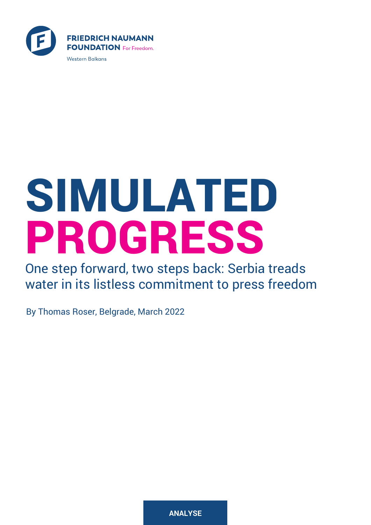

# SIMULATED PROGRESS  $\overline{r}$

One step forward, two steps back: Serbia treads water in its listless commitment to press freedom

By Thomas Roser, Belgrade, March 2022

**ANALYSE**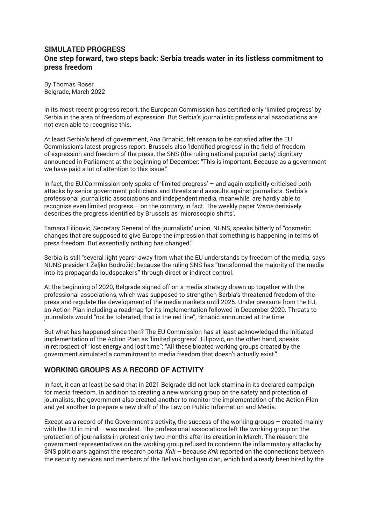# **SIMULATED PROGRESS One step forward, two steps back: Serbia treads water in its listless commitment to press freedom**

By Thomas Roser Belgrade, March 2022

In its most recent progress report, the European Commission has certified only 'limited progress' by Serbia in the area of freedom of expression. But Serbia's journalistic professional associations are not even able to recognise this.

At least Serbia's head of government, Ana Brnabić, felt reason to be satisfied after the EU Commission's latest progress report. Brussels also 'identified progress' in the field of freedom of expression and freedom of the press, the SNS (the ruling national populist party) dignitary announced in Parliament at the beginning of December: "This is important. Because as a government we have paid a lot of attention to this issue."

In fact, the EU Commission only spoke of 'limited progress' – and again explicitly criticised both attacks by senior government politicians and threats and assaults against journalists. Serbia's professional journalistic associations and independent media, meanwhile, are hardly able to recognise even limited progress – on the contrary, in fact. The weekly paper *Vreme* derisively describes the progress identified by Brussels as 'microscopic shifts'.

Tamara Filipović, Secretary General of the journalists' union, NUNS, speaks bitterly of "cosmetic changes that are supposed to give Europe the impression that something is happening in terms of press freedom. But essentially nothing has changed."

Serbia is still "several light years" away from what the EU understands by freedom of the media, says NUNS president Željko Bodrožić: because the ruling SNS has "transformed the majority of the media into its propaganda loudspeakers" through direct or indirect control.

At the beginning of 2020, Belgrade signed off on a media strategy drawn up together with the professional associations, which was supposed to strengthen Serbia's threatened freedom of the press and regulate the development of the media markets until 2025. Under pressure from the EU, an Action Plan including a roadmap for its implementation followed in December 2020. Threats to journalists would "not be tolerated, that is the red line", Brnabić announced at the time.

But what has happened since then? The EU Commission has at least acknowledged the initiated implementation of the Action Plan as 'limited progress'. Filipović, on the other hand, speaks in retrospect of "lost energy and lost time": "All these bloated working groups created by the government simulated a commitment to media freedom that doesn't actually exist."

# **WORKING GROUPS AS A RECORD OF ACTIVITY**

In fact, it can at least be said that in 2021 Belgrade did not lack stamina in its declared campaign for media freedom. In addition to creating a new working group on the safety and protection of journalists, the government also created another to monitor the implementation of the Action Plan and yet another to prepare a new draft of the Law on Public Information and Media.

Except as a record of the Government's activity, the success of the working groups – created mainly with the EU in mind – was modest. The professional associations left the working group on the protection of journalists in protest only two months after its creation in March. The reason: the government representatives on the working group refused to condemn the inflammatory attacks by SNS politicians against the research portal *Krik* – because *Krik* reported on the connections between the security services and members of the Belivuk hooligan clan, which had already been hired by the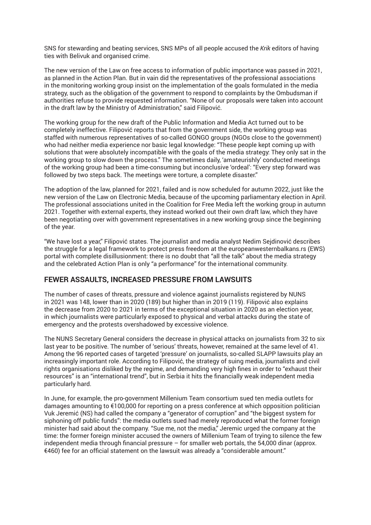SNS for stewarding and beating services, SNS MPs of all people accused the *Krik* editors of having ties with Belivuk and organised crime.

The new version of the Law on free access to information of public importance was passed in 2021, as planned in the Action Plan. But in vain did the representatives of the professional associations in the monitoring working group insist on the implementation of the goals formulated in the media strategy, such as the obligation of the government to respond to complaints by the Ombudsman if authorities refuse to provide requested information. "None of our proposals were taken into account in the draft law by the Ministry of Administration," said Filipović.

The working group for the new draft of the Public Information and Media Act turned out to be completely ineffective. Filipović reports that from the government side, the working group was staffed with numerous representatives of so-called GONGO groups (NGOs close to the government) who had neither media experience nor basic legal knowledge: "These people kept coming up with solutions that were absolutely incompatible with the goals of the media strategy: They only sat in the working group to slow down the process." The sometimes daily, 'amateurishly' conducted meetings of the working group had been a time-consuming but inconclusive 'ordeal': "Every step forward was followed by two steps back. The meetings were torture, a complete disaster."

The adoption of the law, planned for 2021, failed and is now scheduled for autumn 2022, just like the new version of the Law on Electronic Media, because of the upcoming parliamentary election in April. The professional associations united in the Coalition for Free Media left the working group in autumn 2021. Together with external experts, they instead worked out their own draft law, which they have been negotiating over with government representatives in a new working group since the beginning of the year.

"We have lost a year," Filipović states. The journalist and media analyst Nedim Sejdinović describes the struggle for a legal framework to protect press freedom at the europeanwesternbalkans.rs (EWS) portal with complete disillusionment: there is no doubt that "all the talk" about the media strategy and the celebrated Action Plan is only "a performance" for the international community.

#### **FEWER ASSAULTS, INCREASED PRESSURE FROM LAWSUITS**

The number of cases of threats, pressure and violence against journalists registered by NUNS in 2021 was 148, lower than in 2020 (189) but higher than in 2019 (119). Filipović also explains the decrease from 2020 to 2021 in terms of the exceptional situation in 2020 as an election year, in which journalists were particularly exposed to physical and verbal attacks during the state of emergency and the protests overshadowed by excessive violence.

The NUNS Secretary General considers the decrease in physical attacks on journalists from 32 to six last year to be positive. The number of 'serious' threats, however, remained at the same level of 41. Among the 96 reported cases of targeted 'pressure' on journalists, so-called SLAPP lawsuits play an increasingly important role. According to Filipović, the strategy of suing media, journalists and civil rights organisations disliked by the regime, and demanding very high fines in order to "exhaust their resources" is an "international trend", but in Serbia it hits the financially weak independent media particularly hard.

In June, for example, the pro-government Millenium Team consortium sued ten media outlets for damages amounting to €100,000 for reporting on a press conference at which opposition politician Vuk Jeremić (NS) had called the company a "generator of corruption" and "the biggest system for siphoning off public funds": the media outlets sued had merely reproduced what the former foreign minister had said about the company. "Sue me, not the media," Jeremic urged the company at the time: the former foreign minister accused the owners of Millenium Team of trying to silence the few independent media through financial pressure  $-$  for smaller web portals, the 54,000 dinar (approx. €460) fee for an official statement on the lawsuit was already a "considerable amount."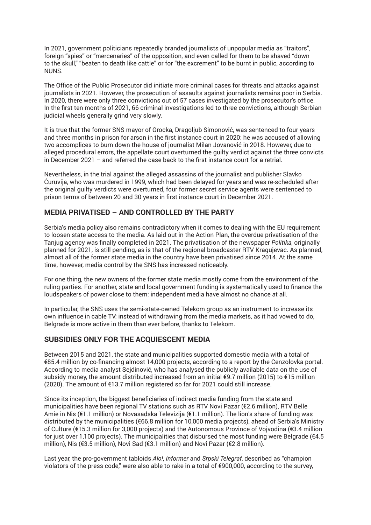In 2021, government politicians repeatedly branded journalists of unpopular media as "traitors", foreign "spies" or "mercenaries" of the opposition, and even called for them to be shaved "down to the skull," "beaten to death like cattle" or for "the excrement" to be burnt in public, according to NUNS.

The Office of the Public Prosecutor did initiate more criminal cases for threats and attacks against journalists in 2021. However, the prosecution of assaults against journalists remains poor in Serbia. In 2020, there were only three convictions out of 57 cases investigated by the prosecutor's office. In the first ten months of 2021, 66 criminal investigations led to three convictions, although Serbian judicial wheels generally grind very slowly.

It is true that the former SNS mayor of Grocka, Dragoljub Simonović, was sentenced to four years and three months in prison for arson in the first instance court in 2020: he was accused of allowing two accomplices to burn down the house of journalist Milan Jovanović in 2018. However, due to alleged procedural errors, the appellate court overturned the guilty verdict against the three convicts in December 2021 – and referred the case back to the first instance court for a retrial.

Nevertheless, in the trial against the alleged assassins of the journalist and publisher Slavko Ćuruvija, who was murdered in 1999, which had been delayed for years and was re-scheduled after the original guilty verdicts were overturned, four former secret service agents were sentenced to prison terms of between 20 and 30 years in first instance court in December 2021.

# **MEDIA PRIVATISED – AND CONTROLLED BY THE PARTY**

Serbia's media policy also remains contradictory when it comes to dealing with the EU requirement to loosen state access to the media. As laid out in the Action Plan, the overdue privatisation of the Tanjug agency was finally completed in 2021. The privatisation of the newspaper *Politika*, originally planned for 2021, is still pending, as is that of the regional broadcaster RTV Kragujevac. As planned, almost all of the former state media in the country have been privatised since 2014. At the same time, however, media control by the SNS has increased noticeably.

For one thing, the new owners of the former state media mostly come from the environment of the ruling parties. For another, state and local government funding is systematically used to finance the loudspeakers of power close to them: independent media have almost no chance at all.

In particular, the SNS uses the semi-state-owned Telekom group as an instrument to increase its own influence in cable TV: instead of withdrawing from the media markets, as it had vowed to do, Belgrade is more active in them than ever before, thanks to Telekom.

#### **SUBSIDIES ONLY FOR THE ACQUIESCENT MEDIA**

Between 2015 and 2021, the state and municipalities supported domestic media with a total of €85.4 million by co-financing almost 14,000 projects, according to a report by the Cenzolovka portal. According to media analyst Sejdinović, who has analysed the publicly available data on the use of subsidy money, the amount distributed increased from an initial €9.7 million (2015) to €15 million (2020). The amount of €13.7 million registered so far for 2021 could still increase.

Since its inception, the biggest beneficiaries of indirect media funding from the state and municipalities have been regional TV stations such as RTV Novi Pazar (€2.6 million), RTV Belle Amie in Nis (€1.1 million) or Novasadska Televizija (€1.1 million). The lion's share of funding was distributed by the municipalities (€66.8 million for 10,000 media projects), ahead of Serbia's Ministry of Culture (€15.3 million for 3,000 projects) and the Autonomous Province of Vojvodina (€3.4 million for just over 1,100 projects). The municipalities that disbursed the most funding were Belgrade (€4.5 million), Nis (€3.5 million), Novi Sad (€3.1 million) and Novi Pazar (€2.8 million).

Last year, the pro-government tabloids *Alo!*, *Informer* and *Srpski Telegraf*, described as "champion violators of the press code," were also able to rake in a total of €900,000, according to the survey,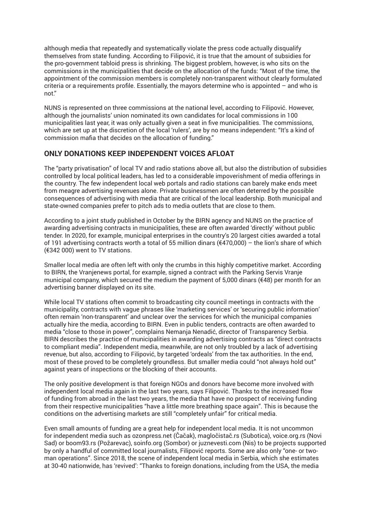although media that repeatedly and systematically violate the press code actually disqualify themselves from state funding. According to Filipović, it is true that the amount of subsidies for the pro-government tabloid press is shrinking. The biggest problem, however, is who sits on the commissions in the municipalities that decide on the allocation of the funds: "Most of the time, the appointment of the commission members is completely non-transparent without clearly formulated criteria or a requirements profile. Essentially, the mayors determine who is appointed  $-$  and who is not."

NUNS is represented on three commissions at the national level, according to Filipović. However, although the journalists' union nominated its own candidates for local commissions in 100 municipalities last year, it was only actually given a seat in five municipalities. The commissions, which are set up at the discretion of the local 'rulers', are by no means independent: "It's a kind of commission mafia that decides on the allocation of funding."

### **ONLY DONATIONS KEEP INDEPENDENT VOICES AFLOAT**

The "party privatisation" of local TV and radio stations above all, but also the distribution of subsidies controlled by local political leaders, has led to a considerable impoverishment of media offerings in the country. The few independent local web portals and radio stations can barely make ends meet from meagre advertising revenues alone. Private businessmen are often deterred by the possible consequences of advertising with media that are critical of the local leadership. Both municipal and state-owned companies prefer to pitch ads to media outlets that are close to them.

According to a joint study published in October by the BIRN agency and NUNS on the practice of awarding advertising contracts in municipalities, these are often awarded 'directly' without public tender. In 2020, for example, municipal enterprises in the country's 20 largest cities awarded a total of 191 advertising contracts worth a total of 55 million dinars (€470,000) – the lion's share of which (€342 000) went to TV stations.

Smaller local media are often left with only the crumbs in this highly competitive market. According to BIRN, the Vranjenews portal, for example, signed a contract with the Parking Servis Vranje municipal company, which secured the medium the payment of 5,000 dinars ( $\epsilon$ 48) per month for an advertising banner displayed on its site.

While local TV stations often commit to broadcasting city council meetings in contracts with the municipality, contracts with vague phrases like 'marketing services' or 'securing public information' often remain 'non-transparent' and unclear over the services for which the municipal companies actually hire the media, according to BIRN. Even in public tenders, contracts are often awarded to media "close to those in power", complains Nemanja Nenadić, director of Transparency Serbia. BIRN describes the practice of municipalities in awarding advertising contracts as "direct contracts to compliant media". Independent media, meanwhile, are not only troubled by a lack of advertising revenue, but also, according to Filipović, by targeted 'ordeals' from the tax authorities. In the end, most of these proved to be completely groundless. But smaller media could "not always hold out" against years of inspections or the blocking of their accounts.

The only positive development is that foreign NGOs and donors have become more involved with independent local media again in the last two years, says Filipović. Thanks to the increased flow of funding from abroad in the last two years, the media that have no prospect of receiving funding from their respective municipalities "have a little more breathing space again". This is because the conditions on the advertising markets are still "completely unfair" for critical media.

Even small amounts of funding are a great help for independent local media. It is not uncommon for independent media such as ozonpress.net (Čačak), magločistač.rs (Subotica), voice.org.rs (Novi Sad) or boom93.rs (Požarevac), soinfo.org (Sombor) or juznevesti.com (Nis) to be projects supported by only a handful of committed local journalists, Filipović reports. Some are also only "one- or twoman operations". Since 2018, the scene of independent local media in Serbia, which she estimates at 30-40 nationwide, has 'revived': "Thanks to foreign donations, including from the USA, the media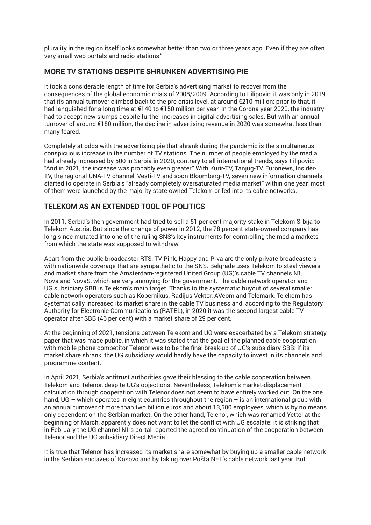plurality in the region itself looks somewhat better than two or three years ago. Even if they are often very small web portals and radio stations."

# **MORE TV STATIONS DESPITE SHRUNKEN ADVERTISING PIE**

It took a considerable length of time for Serbia's advertising market to recover from the consequences of the global economic crisis of 2008/2009. According to Filipović, it was only in 2019 that its annual turnover climbed back to the pre-crisis level, at around €210 million: prior to that, it had languished for a long time at €140 to €150 million per year. In the Corona year 2020, the industry had to accept new slumps despite further increases in digital advertising sales. But with an annual turnover of around €180 million, the decline in advertising revenue in 2020 was somewhat less than many feared.

Completely at odds with the advertising pie that shrank during the pandemic is the simultaneous conspicuous increase in the number of TV stations. The number of people employed by the media had already increased by 500 in Serbia in 2020, contrary to all international trends, says Filipović: "And in 2021, the increase was probably even greater." With Kurir-TV, Tanjug-TV, Euronews, Insider-TV, the regional UNA-TV channel, Vesti-TV and soon Bloomberg-TV, seven new information channels started to operate in Serbia's "already completely oversaturated media market" within one year: most of them were launched by the majority state-owned Telekom or fed into its cable networks.

# **TELEKOM AS AN EXTENDED TOOL OF POLITICS**

In 2011, Serbia's then government had tried to sell a 51 per cent majority stake in Telekom Srbija to Telekom Austria. But since the change of power in 2012, the 78 percent state-owned company has long since mutated into one of the ruling SNS's key instruments for comtrolling the media markets from which the state was supposed to withdraw.

Apart from the public broadcaster RTS, TV Pink, Happy and Prva are the only private broadcasters with nationwide coverage that are sympathetic to the SNS. Belgrade uses Telekom to steal viewers and market share from the Amsterdam-registered United Group (UG)'s cable TV channels N1, Nova and NovaS, which are very annoying for the government. The cable network operator and UG subsidiary SBB is Telekom's main target. Thanks to the systematic buyout of several smaller cable network operators such as Kopernikus, Radijus Vektor, AVcom and Telemark, Telekom has systematically increased its market share in the cable TV business and, according to the Regulatory Authority for Electronic Communications (RATEL), in 2020 it was the second largest cable TV operator after SBB (46 per cent) with a market share of 29 per cent.

At the beginning of 2021, tensions between Telekom and UG were exacerbated by a Telekom strategy paper that was made public, in which it was stated that the goal of the planned cable cooperation with mobile phone competitor Telenor was to be the final break-up of UG's subsidiary SBB: if its market share shrank, the UG subsidiary would hardly have the capacity to invest in its channels and programme content.

In April 2021, Serbia's antitrust authorities gave their blessing to the cable cooperation between Telekom and Telenor, despite UG's objections. Nevertheless, Telekom's market-displacement calculation through cooperation with Telenor does not seem to have entirely worked out. On the one hand, UG – which operates in eight countries throughout the region – is an international group with an annual turnover of more than two billion euros and about 13,500 employees, which is by no means only dependent on the Serbian market. On the other hand, Telenor, which was renamed Yettel at the beginning of March, apparently does not want to let the conflict with UG escalate: it is striking that in February the UG channel N1's portal reported the agreed continuation of the cooperation between Telenor and the UG subsidiary Direct Media.

It is true that Telenor has increased its market share somewhat by buying up a smaller cable network in the Serbian enclaves of Kosovo and by taking over Pošta NET's cable network last year. But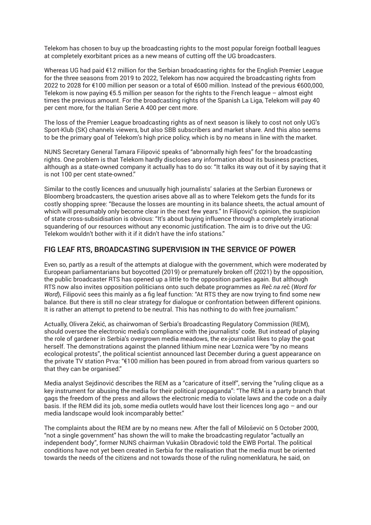Telekom has chosen to buy up the broadcasting rights to the most popular foreign football leagues at completely exorbitant prices as a new means of cutting off the UG broadcasters.

Whereas UG had paid €12 million for the Serbian broadcasting rights for the English Premier League for the three seasons from 2019 to 2022, Telekom has now acquired the broadcasting rights from 2022 to 2028 for €100 million per season or a total of €600 million. Instead of the previous €600,000, Telekom is now paying €5.5 million per season for the rights to the French league – almost eight times the previous amount. For the broadcasting rights of the Spanish La Liga, Telekom will pay 40 per cent more, for the Italian Serie A 400 per cent more.

The loss of the Premier League broadcasting rights as of next season is likely to cost not only UG's Sport-Klub (SK) channels viewers, but also SBB subscribers and market share. And this also seems to be the primary goal of Telekom's high price policy, which is by no means in line with the market.

NUNS Secretary General Tamara Filipović speaks of "abnormally high fees" for the broadcasting rights. One problem is that Telekom hardly discloses any information about its business practices, although as a state-owned company it actually has to do so: "It talks its way out of it by saying that it is not 100 per cent state-owned."

Similar to the costly licences and unusually high journalists' salaries at the Serbian Euronews or Bloomberg broadcasters, the question arises above all as to where Telekom gets the funds for its costly shopping spree: "Because the losses are mounting in its balance sheets, the actual amount of which will presumably only become clear in the next few years." In Filipović's opinion, the suspicion of state cross-subsidisation is obvious: "It's about buying influence through a completely irrational squandering of our resources without any economic justification. The aim is to drive out the UG: Telekom wouldn't bother with it if it didn't have the info stations."

#### **FIG LEAF RTS, BROADCASTING SUPERVISION IN THE SERVICE OF POWER**

Even so, partly as a result of the attempts at dialogue with the government, which were moderated by European parliamentarians but boycotted (2019) or prematurely broken off (2021) by the opposition, the public broadcaster RTS has opened up a little to the opposition parties again. But although RTS now also invites opposition politicians onto such debate programmes as *Re*č *na re*č (*Word for Word*), Filipović sees this mainly as a fig leaf function: "At RTS they are now trying to find some new balance. But there is still no clear strategy for dialogue or confrontation between different opinions. It is rather an attempt to pretend to be neutral. This has nothing to do with free journalism."

Actually, Olivera Zekić, as chairwoman of Serbia's Broadcasting Regulatory Commission (REM), should oversee the electronic media's compliance with the journalists' code. But instead of playing the role of gardener in Serbia's overgrown media meadows, the ex-journalist likes to play the goat herself. The demonstrations against the planned lithium mine near Loznica were "by no means ecological protests", the political scientist announced last December during a guest appearance on the private TV station Prva: "€100 million has been poured in from abroad from various quarters so that they can be organised."

Media analyst Sejdinović describes the REM as a "caricature of itself", serving the "ruling clique as a key instrument for abusing the media for their political propaganda": "The REM is a party branch that gags the freedom of the press and allows the electronic media to violate laws and the code on a daily basis. If the REM did its job, some media outlets would have lost their licences long ago – and our media landscape would look incomparably better."

The complaints about the REM are by no means new. After the fall of Milošević on 5 October 2000, "not a single government" has shown the will to make the broadcasting regulator "actually an independent body", former NUNS chairman Vukašin Obradović told the EWB Portal. The political conditions have not yet been created in Serbia for the realisation that the media must be oriented towards the needs of the citizens and not towards those of the ruling nomenklatura, he said, on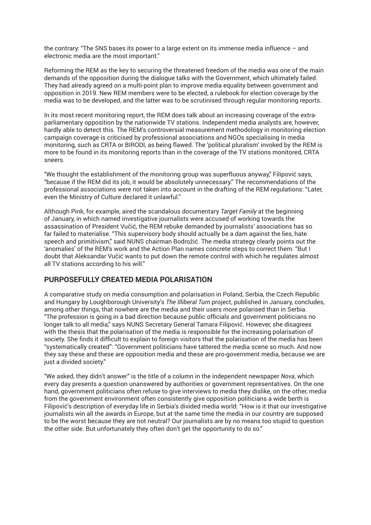the contrary: "The SNS bases its power to a large extent on its immense media influence – and electronic media are the most important."

Reforming the REM as the key to securing the threatened freedom of the media was one of the main demands of the opposition during the dialogue talks with the Government, which ultimately failed. They had already agreed on a multi-point plan to improve media equality between government and opposition in 2019. New REM members were to be elected, a rulebook for election coverage by the media was to be developed, and the latter was to be scrutinised through regular monitoring reports.

In its most recent monitoring report, the REM does talk about an increasing coverage of the extraparliamentary opposition by the nationwide TV stations. Independent media analysts are, however, hardly able to detect this. The REM's controversial measurement methodology in monitoring election campaign coverage is criticised by professional associations and NGOs specialising in media monitoring, such as CRTA or BIRODI, as being flawed. The 'political pluralism' invoked by the REM is more to be found in its monitoring reports than in the coverage of the TV stations monitored, CRTA sneers.

"We thought the establishment of the monitoring group was superfluous anyway," Filipović says, "because if the REM did its job, it would be absolutely unnecessary." The recommendations of the professional associations were not taken into account in the drafting of the REM regulations: "Later, even the Ministry of Culture declared it unlawful."

Although Pink, for example, aired the scandalous documentary *Target Family* at the beginning of January, in which named investigative journalists were accused of working towards the assassination of President Vučić, the REM rebuke demanded by journalists' associations has so far failed to materialise. "This supervisory body should actually be a dam against the lies, hate speech and primitivism," said NUNS chairman Bodrožić. The media strategy clearly points out the 'anomalies' of the REM's work and the Action Plan names concrete steps to correct them: "But I doubt that Aleksandar Vučić wants to put down the remote control with which he regulates almost all TV stations according to his will."

#### **PURPOSEFULLY CREATED MEDIA POLARISATION**

A comparative study on media consumption and polarisation in Poland, Serbia, the Czech Republic and Hungary by Loughborough University's *The Illiberal Turn* project, published in January, concludes, among other things, that nowhere are the media and their users more polarised than in Serbia. "The profession is going in a bad direction because public officials and government politicians no longer talk to all media," says NUNS Secretary General Tamara Filipović. However, she disagrees with the thesis that the polarisation of the media is responsible for the increasing polarisation of society. She finds it difficult to explain to foreign visitors that the polarisation of the media has been "systematically created": "Government politicians have tattered the media scene so much. And now they say these and these are opposition media and these are pro-government media, because we are just a divided society."

"We asked, they didn't answer" is the title of a column in the independent newspaper *Nova*, which every day presents a question unanswered by authorities or government representatives. On the one hand, government politicians often refuse to give interviews to media they dislike, on the other, media from the government environment often consistently give opposition politicians a wide berth is Filipović's description of everyday life in Serbia's divided media world: "How is it that our investigative journalists win all the awards in Europe, but at the same time the media in our country are supposed to be the worst because they are not neutral? Our journalists are by no means too stupid to question the other side. But unfortunately they often don't get the opportunity to do so."